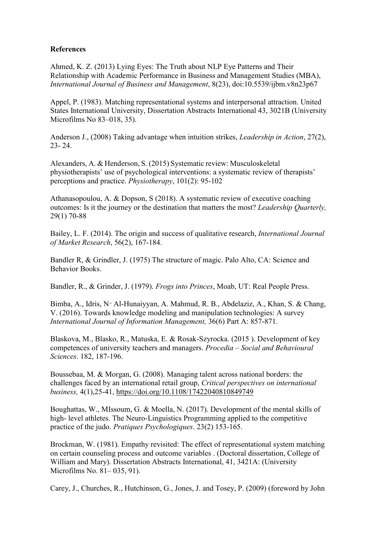## **References**

Ahmed, K. Z. (2013) Lying Eyes: The Truth about NLP Eye Patterns and Their Relationship with Academic Performance in Business and Management Studies (MBA), *International Journal of Business and Management*, 8(23), doi:10.5539/ijbm.v8n23p67

Appel, P. (1983). Matching representational systems and interpersonal attraction. United States International University, Dissertation Abstracts International 43, 3021B (University Microfilms No 83–018, 35).

Anderson J., (2008) Taking advantage when intuition strikes, *Leadership in Action*, 27(2), 23- 24.

Alexanders, A. & Henderson, S. (2015) Systematic review: Musculoskeletal physiotherapists' use of psychological interventions: a systematic review of therapists' perceptions and practice. *Physiotherapy*, 101(2): 95-102

Athanasopoulou, A. & Dopson, S (2018). A systematic review of executive coaching outcomes: Is it the journey or the destination that matters the most? *Leadership Quarterly,*  29(1) 70-88

Bailey, L. F. (2014). The origin and success of qualitative research, *International Journal of Market Research*, 56(2), 167-184.

Bandler R, & Grindler, J. (1975) The structure of magic. Palo Alto, CA: Science and Behavior Books.

Bandler, R., & Grinder, J. (1979). *Frogs into Princes*, Moab, UT: Real People Press.

Bimba, A., Idris, N<sup>.,</sup> Al-Hunaiyyan, A. Mahmud, R. B., Abdelaziz, A., Khan, S. & Chang, V. (2016). Towards knowledge modeling and manipulation technologies: A survey *International Journal of Information Management,* 36(6) Part A: 857-871.

Blaskova, M., Blasko, R., Matuska, E. & Rosak-Szyrocka. (2015 ). Development of key competences of university teachers and managers. *Procedia – Social and Behavioural Sciences*. 182, 187-196.

Boussebaa, M. & Morgan, G. (2008). Managing talent across national borders: the challenges faced by an international retail group, *Critical perspectives on international business,* 4(1),25-41, https://doi.org/10.1108/17422040810849749

Boughattas, W., MIssoum, G. & Moella, N. (2017). Development of the mental skills of high- level athletes. The Neuro-Linguistics Programming applied to the competitive practice of the judo. *Pratiques Psychologiques*. 23(2) 153-165.

Brockman, W. (1981). Empathy revisited: The effect of representational system matching on certain counseling process and outcome variables . (Doctoral dissertation, College of William and Mary). Dissertation Abstracts International, 41, 3421A: (University Microfilms No. 81– 035, 91).

Carey, J., Churches, R., Hutchinson, G., Jones, J. and Tosey, P. (2009) (foreword by John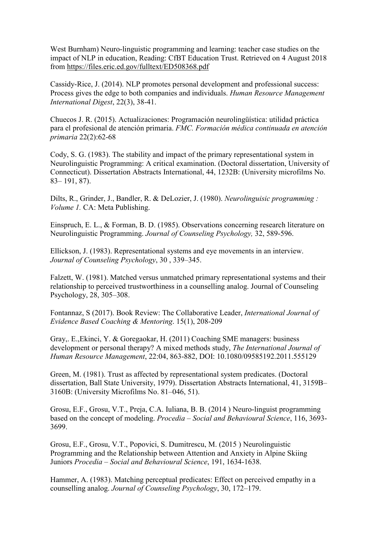West Burnham) Neuro-linguistic programming and learning: teacher case studies on the impact of NLP in education, Reading: CfBT Education Trust. Retrieved on 4 August 2018 from https://files.eric.ed.gov/fulltext/ED508368.pdf

Cassidy-Rice, J. (2014). NLP promotes personal development and professional success: Process gives the edge to both companies and individuals. *Human Resource Management International Digest*, 22(3), 38-41.

Chuecos J. R. (2015). Actualizaciones: Programación neurolingüística: utilidad práctica para el profesional de atención primaria. *FMC. Formación médica continuada en atención primaria* 22(2):62-68

Cody, S. G. (1983). The stability and impact of the primary representational system in Neurolinguistic Programming: A critical examination. (Doctoral dissertation, University of Connecticut). Dissertation Abstracts International, 44, 1232B: (University microfilms No. 83– 191, 87).

Dilts, R., Grinder, J., Bandler, R. & DeLozier, J. (1980). *Neurolinguisic programming : Volume 1.* CA: Meta Publishing.

Einspruch, E. L., & Forman, B. D. (1985). Observations concerning research literature on Neurolinguistic Programming. *Journal of Counseling Psychology,* 32, 589-596.

Ellickson, J. (1983). Representational systems and eye movements in an interview. *Journal of Counseling Psychology*, 30 , 339–345.

Falzett, W. (1981). Matched versus unmatched primary representational systems and their relationship to perceived trustworthiness in a counselling analog. Journal of Counseling Psychology, 28, 305–308.

Fontannaz, S (2017). Book Review: The Collaborative Leader, *International Journal of Evidence Based Coaching & Mentoring*. 15(1), 208-209

Gray,. E.,Ekinci, Y. & Goregaokar, H. (2011) Coaching SME managers: business development or personal therapy? A mixed methods study, *The International Journal of Human Resource Management*, 22:04, 863-882, DOI: 10.1080/09585192.2011.555129

Green, M. (1981). Trust as affected by representational system predicates. (Doctoral dissertation, Ball State University, 1979). Dissertation Abstracts International, 41, 3159B– 3160B: (University Microfilms No. 81–046, 51).

Grosu, E.F., Grosu, V.T., Preja, C.A. Iuliana, B. B. (2014 ) Neuro-linguist programming based on the concept of modeling. *Procedia – Social and Behavioural Science*, 116, 3693- 3699.

Grosu, E.F., Grosu, V.T., Popovici, S. Dumitrescu, M. (2015 ) Neurolinguistic Programming and the Relationship between Attention and Anxiety in Alpine Skiing Juniors *Procedia – Social and Behavioural Science*, 191, 1634-1638.

Hammer, A. (1983). Matching perceptual predicates: Effect on perceived empathy in a counselling analog. *Journal of Counseling Psychology*, 30, 172–179.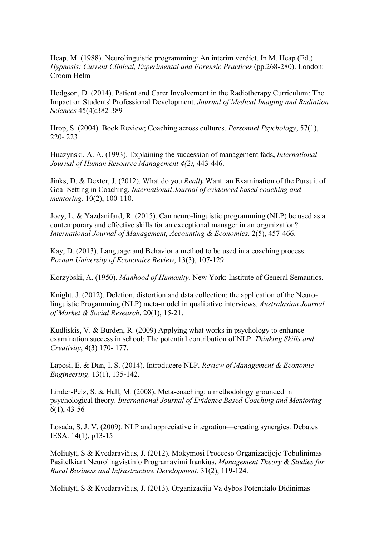Heap, M. (1988). Neurolinguistic programming: An interim verdict. In M. Heap (Ed.) *Hypnosis: Current Clinical, Experimental and Forensic Practices (pp.268-280). London:* Croom Helm

Hodgson, D. (2014). Patient and Carer Involvement in the Radiotherapy Curriculum: The Impact on Students' Professional Development. *Journal of Medical Imaging and Radiation Sciences* 45(4):382-389

Hrop, S. (2004). Book Review; Coaching across cultures. *Personnel Psychology*, 57(1), 220- 223

Huczynski, A. A. (1993). Explaining the succession of management fads**,** *International Journal of Human Resource Management 4(2),* 443-446.

Jinks, D. & Dexter, J. (2012). What do you *Really* Want: an Examination of the Pursuit of Goal Setting in Coaching. *International Journal of evidenced based coaching and mentoring*. 10(2), 100-110.

Joey, L. & Yazdanifard, R. (2015). Can neuro-linguistic programming (NLP) be used as a contemporary and effective skills for an exceptional manager in an organization? *International Journal of Management, Accounting & Economics*. 2(5), 457-466.

Kay, D. (2013). Language and Behavior a method to be used in a coaching process. *Poznan University of Economics Review*, 13(3), 107-129.

Korzybski, A. (1950). *Manhood of Humanity*. New York: Institute of General Semantics.

Knight, J. (2012). Deletion, distortion and data collection: the application of the Neurolinguistic Progamming (NLP) meta-model in qualitative interviews. *Australasian Journal of Market & Social Research*. 20(1), 15-21.

Kudliskis, V. & Burden, R. (2009) Applying what works in psychology to enhance examination success in school: The potential contribution of NLP. *Thinking Skills and Creativity*, 4(3) 170- 177.

Laposi, E. & Dan, I. S. (2014). Introducere NLP. *Review of Management & Economic Engineering*. 13(1), 135-142.

Linder-Pelz, S. & Hall, M. (2008). Meta-coaching: a methodology grounded in psychological theory. *International Journal of Evidence Based Coaching and Mentoring*  6(1), 43-56

Losada, S. J. V. (2009). NLP and appreciative integration—creating synergies. Debates IESA. 14(1), p13-15

Moliušytė, S & Kvedaravičius, J. (2012). Mokymosi Procecso Organizacijoje Tobulinimas Pasitelkiant Neurolingvistinio Programavimi Irankius. *Management Theory & Studies for Rural Business and Infrastructure Development.* 31(2), 119-124.

Moliušytė, S & Kvedaravičius, J. (2013). Organizaciju Va dybos Potencialo Didinimas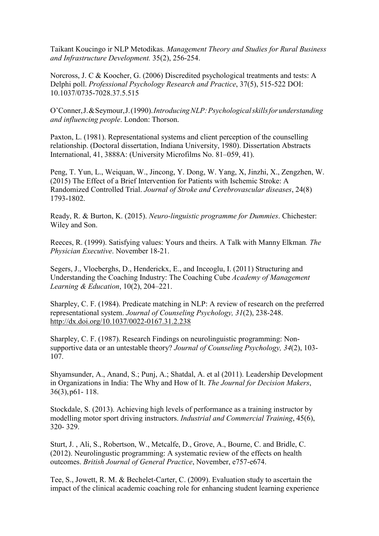Taikant Koucingo ir NLP Metodikas. *Management Theory and Studies for Rural Business and Infrastructure Development.* 35(2), 256-254.

Norcross, J. C & Koocher, G. (2006) Discredited psychological treatments and tests: A Delphi poll. *Professional Psychology Research and Practice*, 37(5), 515-522 DOI: 10.1037/0735-7028.37.5.515

O'Conner, J. & Seymour, J. (1990). *Introducing NLP: Psychological skills for understanding and influencing people*. London: Thorson.

Paxton, L. (1981). Representational systems and client perception of the counselling relationship. (Doctoral dissertation, Indiana University, 1980). Dissertation Abstracts International, 41, 3888A: (University Microfilms No. 81–059, 41).

Peng, T. Yun, L., Weiquan, W., Jincong, Y. Dong, W. Yang, X, Jinzhi, X., Zengzhen, W. (2015) The Effect of a Brief Intervention for Patients with Ischemic Stroke: A Randomized Controlled Trial. *Journal of Stroke and Cerebrovascular diseases*, 24(8) 1793-1802.

Ready, R. & Burton, K. (2015). *Neuro-linguistic programme for Dummies*. Chichester: Wiley and Son.

Reeces, R. (1999). Satisfying values: Yours and theirs. A Talk with Manny Elkman*. The Physician Executive*. November 18-21.

Segers, J., Vloeberghs, D., Henderickx, E., and Inceoglu, I. (2011) Structuring and Understanding the Coaching Industry: The Coaching Cube *Academy of Management Learning & Education*, 10(2), 204–221.

Sharpley, C. F. (1984). Predicate matching in NLP: A review of research on the preferred representational system. *Journal of Counseling Psychology, 31*(2), 238-248. http://dx.doi.org/10.1037/0022-0167.31.2.238

Sharpley, C. F. (1987). Research Findings on neurolinguistic programming: Nonsupportive data or an untestable theory? *Journal of Counseling Psychology, 34*(2), 103- 107.

Shyamsunder, A., Anand, S.; Punj, A.; Shatdal, A. et al (2011). Leadership Development in Organizations in India: The Why and How of It. *The Journal for Decision Makers*, 36(3), p61- 118.

Stockdale, S. (2013). Achieving high levels of performance as a training instructor by modelling motor sport driving instructors. *Industrial and Commercial Training*, 45(6), 320- 329.

Sturt, J. , Ali, S., Robertson, W., Metcalfe, D., Grove, A., Bourne, C. and Bridle, C. (2012). Neurolingustic programming: A systematic review of the effects on health outcomes. *British Journal of General Practice*, November, e757-e674.

Tee, S., Jowett, R. M. & Bechelet-Carter, C. (2009). Evaluation study to ascertain the impact of the clinical academic coaching role for enhancing student learning experience